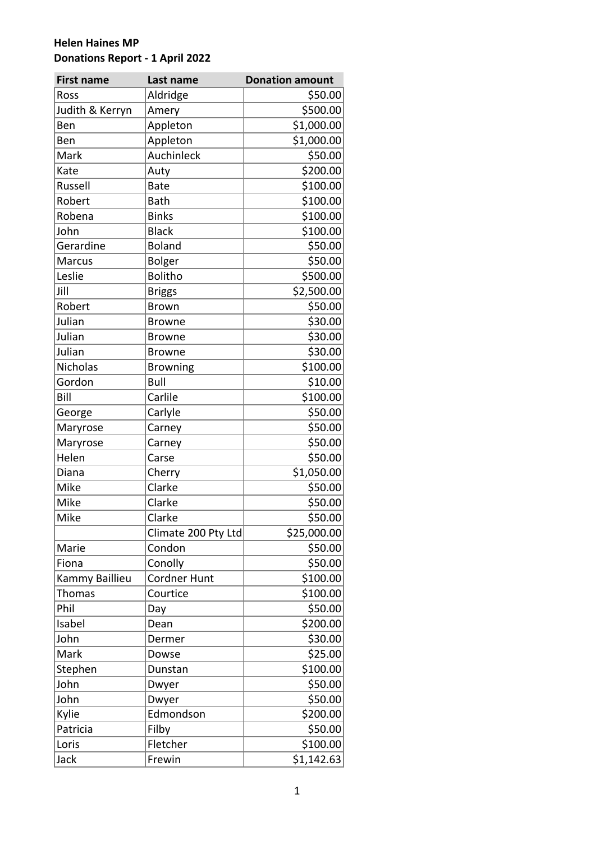| <b>First name</b> | Last name           | <b>Donation amount</b> |
|-------------------|---------------------|------------------------|
| Ross              | Aldridge            | \$50.00                |
| Judith & Kerryn   | Amery               | \$500.00               |
| Ben               | Appleton            | \$1,000.00             |
| Ben               | Appleton            | \$1,000.00             |
| Mark              | Auchinleck          | \$50.00                |
| Kate              | Auty                | \$200.00               |
| Russell           | <b>Bate</b>         | \$100.00               |
| Robert            | <b>Bath</b>         | \$100.00               |
| Robena            | <b>Binks</b>        | \$100.00               |
| John              | <b>Black</b>        | \$100.00               |
| Gerardine         | <b>Boland</b>       | \$50.00                |
| Marcus            | Bolger              | \$50.00                |
| Leslie            | <b>Bolitho</b>      | \$500.00               |
| Jill              | <b>Briggs</b>       | \$2,500.00             |
| Robert            | <b>Brown</b>        | \$50.00                |
| Julian            | <b>Browne</b>       | \$30.00                |
| Julian            | <b>Browne</b>       | \$30.00                |
| Julian            | <b>Browne</b>       | \$30.00                |
| Nicholas          | <b>Browning</b>     | \$100.00               |
| Gordon            | Bull                | \$10.00                |
| Bill              | Carlile             | \$100.00               |
| George            | Carlyle             | \$50.00                |
| Maryrose          | Carney              | \$50.00                |
| Maryrose          | Carney              | \$50.00                |
| Helen             | Carse               | \$50.00                |
| Diana             | Cherry              | \$1,050.00             |
| Mike              | Clarke              | \$50.00                |
| Mike              | Clarke              | \$50.00                |
| Mike              | Clarke              | \$50.00                |
|                   | Climate 200 Pty Ltd | \$25,000.00            |
| Marie             | Condon              | \$50.00                |
| Fiona             | Conolly             | \$50.00                |
| Kammy Baillieu    | <b>Cordner Hunt</b> | \$100.00               |
| <b>Thomas</b>     | Courtice            | \$100.00               |
| Phil              | Day                 | \$50.00                |
| Isabel            | Dean                | \$200.00               |
| John              | Dermer              | \$30.00                |
| Mark              | Dowse               | \$25.00                |
| Stephen           | Dunstan             | \$100.00               |
| John              | Dwyer               | \$50.00                |
| John              | Dwyer               | \$50.00                |
| Kylie             | Edmondson           | \$200.00               |
| Patricia          | Filby               | \$50.00                |
| Loris             | Fletcher            | \$100.00               |
| Jack              | Frewin              | \$1,142.63             |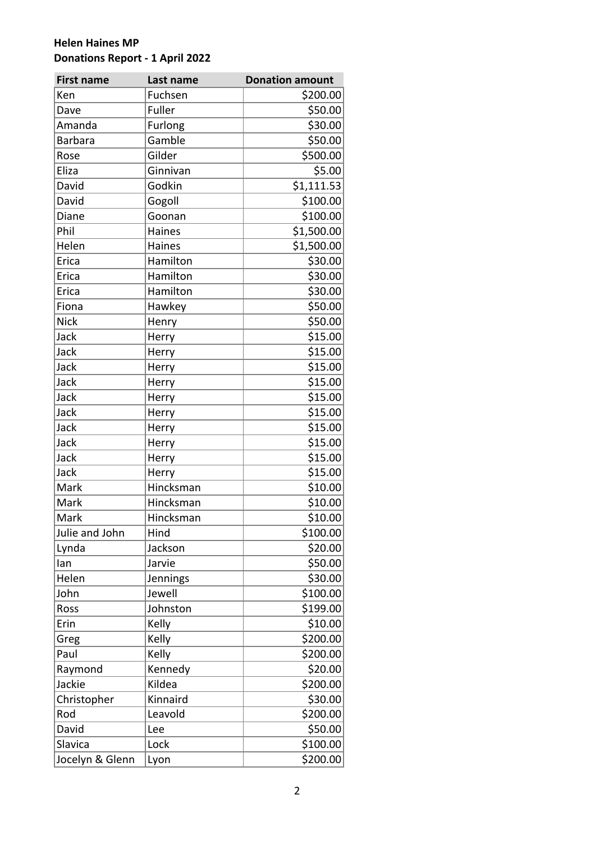| <b>First name</b> | Last name | <b>Donation amount</b> |
|-------------------|-----------|------------------------|
| Ken               | Fuchsen   | \$200.00               |
| Dave              | Fuller    | \$50.00                |
| Amanda            | Furlong   | \$30.00                |
| <b>Barbara</b>    | Gamble    | \$50.00                |
| Rose              | Gilder    | \$500.00               |
| Eliza             | Ginnivan  | \$5.00                 |
| David             | Godkin    | \$1,111.53             |
| David             | Gogoll    | \$100.00               |
| Diane             | Goonan    | \$100.00               |
| Phil              | Haines    | \$1,500.00             |
| Helen             | Haines    | \$1,500.00             |
| Erica             | Hamilton  | \$30.00                |
| Erica             | Hamilton  | \$30.00                |
| Erica             | Hamilton  | \$30.00                |
| Fiona             | Hawkey    | \$50.00                |
| <b>Nick</b>       | Henry     | \$50.00                |
| Jack              | Herry     | \$15.00                |
| Jack              | Herry     | \$15.00                |
| Jack              | Herry     | \$15.00                |
| Jack              | Herry     | \$15.00                |
| Jack              | Herry     | \$15.00                |
| Jack              | Herry     | \$15.00                |
| Jack              | Herry     | \$15.00                |
| Jack              | Herry     | \$15.00                |
| Jack              | Herry     | \$15.00                |
| Jack              | Herry     | \$15.00                |
| Mark              | Hincksman | \$10.00                |
| Mark              | Hincksman | \$10.00                |
| Mark              | Hincksman | \$10.00                |
| Julie and John    | Hind      | \$100.00               |
| Lynda             | Jackson   | \$20.00                |
| lan               | Jarvie    | \$50.00                |
| Helen             | Jennings  | \$30.00                |
| John              | Jewell    | \$100.00               |
| Ross              | Johnston  | \$199.00               |
| Erin              | Kelly     | \$10.00                |
| Greg              | Kelly     | \$200.00               |
| Paul              | Kelly     | \$200.00               |
| Raymond           | Kennedy   | \$20.00                |
| Jackie            | Kildea    | \$200.00               |
| Christopher       | Kinnaird  | \$30.00                |
| Rod               | Leavold   | \$200.00               |
| David             | Lee       | \$50.00                |
| Slavica           | Lock      | \$100.00               |
| Jocelyn & Glenn   | Lyon      | \$200.00               |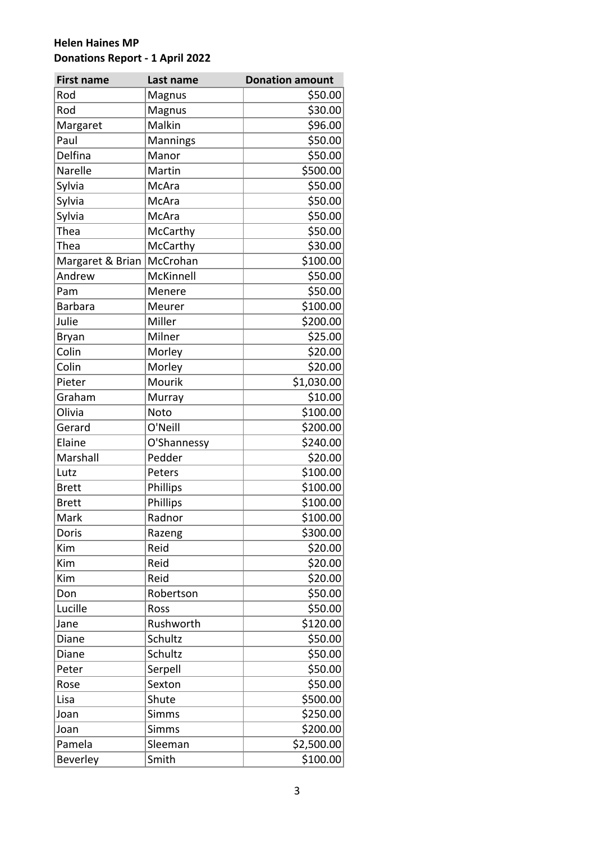| <b>First name</b> | Last name    | <b>Donation amount</b> |
|-------------------|--------------|------------------------|
| Rod               | Magnus       | \$50.00                |
| Rod               | Magnus       | \$30.00                |
| Margaret          | Malkin       | \$96.00                |
| Paul              | Mannings     | \$50.00                |
| Delfina           | Manor        | \$50.00                |
| Narelle           | Martin       | \$500.00               |
| Sylvia            | McAra        | \$50.00                |
| Sylvia            | McAra        | \$50.00                |
| Sylvia            | McAra        | \$50.00                |
| Thea              | McCarthy     | \$50.00                |
| Thea              | McCarthy     | \$30.00                |
| Margaret & Brian  | McCrohan     | \$100.00               |
| Andrew            | McKinnell    | \$50.00                |
| Pam               | Menere       | \$50.00                |
| <b>Barbara</b>    | Meurer       | \$100.00               |
| Julie             | Miller       | \$200.00               |
| Bryan             | Milner       | \$25.00                |
| Colin             | Morley       | \$20.00                |
| Colin             | Morley       | \$20.00                |
| Pieter            | Mourik       | \$1,030.00             |
| Graham            | Murray       | \$10.00                |
| Olivia            | Noto         | \$100.00               |
| Gerard            | O'Neill      | \$200.00               |
| Elaine            | O'Shannessy  | \$240.00               |
| Marshall          | Pedder       | \$20.00                |
| Lutz              | Peters       | \$100.00               |
| <b>Brett</b>      | Phillips     | \$100.00               |
| <b>Brett</b>      | Phillips     | \$100.00               |
| Mark              | Radnor       | \$100.00               |
| Doris             | Razeng       | \$300.00               |
| Kim               | Reid         | \$20.00                |
| Kim               | Reid         | \$20.00                |
| Kim               | Reid         | \$20.00                |
| Don               | Robertson    | \$50.00                |
| Lucille           | Ross         | \$50.00                |
| Jane              | Rushworth    | \$120.00               |
| Diane             | Schultz      | \$50.00                |
| Diane             | Schultz      | \$50.00                |
| Peter             | Serpell      | \$50.00                |
| Rose              | Sexton       | \$50.00                |
| Lisa              | Shute        | \$500.00               |
| Joan              | <b>Simms</b> | \$250.00               |
| Joan              | <b>Simms</b> | \$200.00               |
| Pamela            | Sleeman      | \$2,500.00             |
| Beverley          | Smith        | \$100.00               |